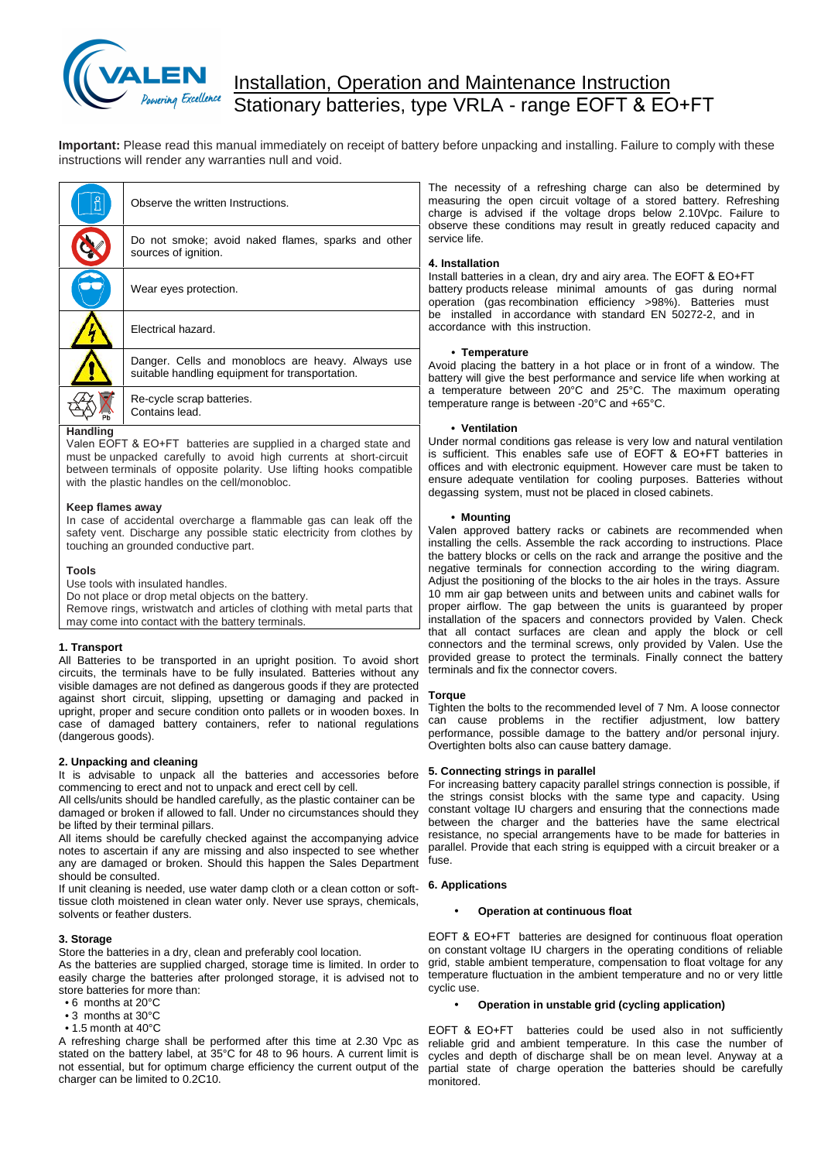

# Installation, Operation and Maintenance Instruction Stationary batteries, type VRLA - range EOFT & EO+FT

**Important:** Please read this manual immediately on receipt of battery before unpacking and installing. Failure to comply with these instructions will render any warranties null and void.

|                 | Observe the written Instructions.                                                                    | ا The<br>meas<br>charg     |
|-----------------|------------------------------------------------------------------------------------------------------|----------------------------|
|                 | Do not smoke; avoid naked flames, sparks and other<br>sources of ignition.                           | obser<br>servic<br>4. Ins  |
|                 | Wear eyes protection.                                                                                | Install<br>batter<br>opera |
|                 | Electrical hazard.                                                                                   | be ir<br>accor             |
|                 | Danger. Cells and monoblocs are heavy. Always use<br>suitable handling equipment for transportation. | Avoid<br>batter            |
|                 | Re-cycle scrap batteries.<br>Contains lead.                                                          | a ten<br>tempe             |
| <b>Handling</b> |                                                                                                      |                            |

Valen EOFT & EO+FT batteries are supplied in a charged state and must be unpacked carefully to avoid high currents at short-circuit between terminals of opposite polarity. Use lifting hooks compatible with the plastic handles on the cell/monobloc.

# **Keep flames away**

In case of accidental overcharge a flammable gas can leak off the safety vent. Discharge any possible static electricity from clothes by touching an grounded conductive part.

### **Tools**

Use tools with insulated handles.

Do not place or drop metal objects on the battery.

Remove rings, wristwatch and articles of clothing with metal parts that may come into contact with the battery terminals. Use tools with the<br>Do not place or d<br>Remove rings, w<br>may come into control All Batteries to be<br>circuits, the termin

All Batteries to be transported in an upright position. To avoid short circuits, the terminals have to be fully insulated. Batteries without any visible damages are not defined as dangerous goods if they are protected against short circuit, slipping, upsetting or damaging and packed in upright, proper and secure condition onto pallets or in wooden boxes. In upright, proper and secure condition onto pallets or in wooden boxes. In Tighter case of damaged battery containers, refer to national regulations ca case of damaged battery containers, refer to national regulations (dangerous goods).

It is advisable to unpack all the batteries and accessories before 5. Connecting strings in parallel commencing to erect and not to unpack and erect cell by cell.

All cells/units should be handled carefully, as the plastic container can be damaged or broken if allowed to fall. Under no circumstances should they be lifted by their terminal pillars.

All items should be carefully checked against the accompanying advice notes to ascertain if any are missing and also inspected to see whether any are damaged or broken. Should this happen the Sales Department should be consulted.

Should be consulted.<br>If unit cleaning is needed, use water damp cloth or a clean cotton or soft-<br>tissue cloth moistened in clean water only. Never use sprays, chemicals,<br>solvents or feather dusters.<br>**3. Storage**<br>Store the tissue cloth moistened in clean water only. Never use sprays, chemicals, solvents or feather dusters.

Store the batteries in a dry, clean and preferably cool location.

As the batteries are supplied charged, storage time is limited. In order to grid, st As the batteries are supplied charged, storage time is limited. In order to yind, steasily charge the batteries after prolonged storage, it is advised not to temper<br>store batteries for more than:<br>• 6 months at  $20^{\circ}$ C<br>• store batteries for more than:<br>• 6 months at 20°C • Storage<br>
• store the batteries in a dry, clear<br>
sthe batteries are supplied cha<br>
asily charge the batteries after<br>
• 6 months at 20°C<br>
• 3 months at 30°C<br>
• 4 5 months at 40°C tore the batteries in a dry, clear<br>
is the batteries are supplied cha<br>
asily charge the batteries after<br>
tore batteries for more than:<br>
• 6 months at 30°C<br>
• 3 months at 30°C<br>
• 1.5 month at 40°C<br>
• 1.5 month at 40°C

- 
- 

A refreshing charge shall be performed after this time at 2.30 Vpc as stated on the battery label, at 35°C for 48 to 96 hours. A current limit is not essential, but for optimum charge efficiency the current output of the charger can be limited to 0.2C10.

The necessity of a refreshing charge can also be determined by measuring the open circuit voltage of a stored battery. Refreshing charge is advised if the voltage drops below 2.10Vpc. Failure to observe these conditions may result in greatly reduced capacity and service life.

# **4. Installation**

Install batteries in a clean, dry and airy area. The EOFT & EO+FT battery products release minimal amounts of gas during normal operation (gas recombination efficiency >98%). Batteries must be installed in accordance with standard EN 50272-2, and in accordance with this instruction.

# **• Temperature**

Avoid placing the battery in a hot place or in front of a window. The battery will give the best performance and service life when working at a temperature between 20°C and 25°C. The maximum operating temperature range is between -20°C and +65°C.

### **• Ventilation**

Under normal conditions gas release is very low and natural ventilation is sufficient. This enables safe use of EOFT & EO+FT batteries in offices and with electronic equipment. However care must be taken to ensure adequate ventilation for cooling purposes. Batteries without degassing system, must not be placed in closed cabinets.

### **• Mounting**

Valen approved battery racks or cabinets are recommended when installing the cells. Assemble the rack according to instructions. Place the battery blocks or cells on the rack and arrange the positive and the negative terminals for connection according to the wiring diagram. Adjust the positioning of the blocks to the air holes in the trays. Assure 10 mm air gap between units and between units and cabinet walls for proper airflow. The gap between the units is guaranteed by proper installation of the spacers and connectors provided by Valen. Check that all contact surfaces are clean and apply the block or cell connectors and the terminal screws, only provided by Valen. Use the provided grease to protect the terminals. Finally connect the battery terminals and fix the connector covers.

# **Torque**

Tighten the bolts to the recommended level of 7 Nm. A loose connector Fighteri the bots to the recommended level of 7 Nm. A loose connector<br>can cause problems in the rectifier adjustment, low battery<br>performance, possible damage to the battery and/or personal injury.<br>Overtighten bolts also c performance, possible damage to the battery and/or personal injury. Overtighten bolts also can cause battery damage.

For increasing battery capacity parallel strings connection is possible, if the strings consist blocks with the same type and capacity. Using constant voltage IU chargers and ensuring that the connections made between the charger and the batteries have the same electrical resistance, no special arrangements have to be made for batteries in parallel. Provide that each string is equipped with a circuit breaker or a fuse.<br> **6. Applications**<br>
• **Operation at continuous float** parallel. Provide that each string is equipped with a circuit breaker or a fuse.

#### **Operation at continuous float**

EOFT & EO+FT batteries are designed for continuous float operation on constant voltage IU chargers in the operating conditions of reliable grid, stable ambient temperature, compensation to float voltage for any temperature fluctuation in the ambient temperature and no or very little cyclic use.

# **Operation in unstable grid (cycling application)**

EOFT & EO+FT batteries could be used also in not sufficiently reliable grid and ambient temperature. In this case the number of cycles and depth of discharge shall be on mean level. Anyway at a partial state of charge operation the batteries should be carefully monitored.